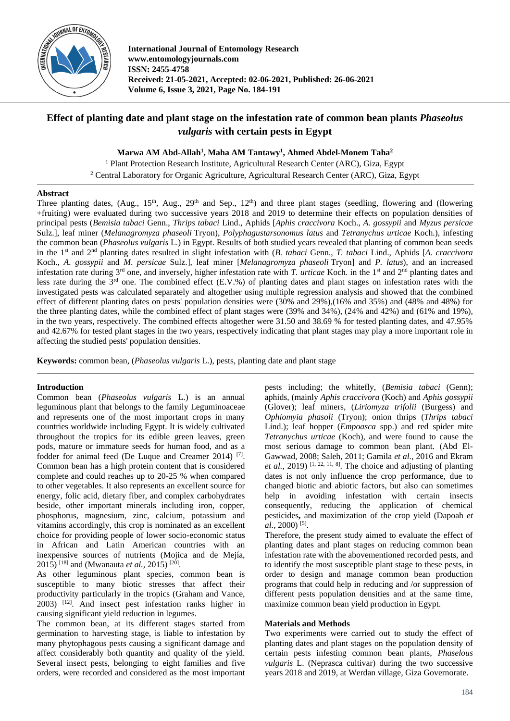

**International Journal of Entomology Research www.entomologyjournals.com ISSN: 2455-4758 Received: 21-05-2021, Accepted: 02-06-2021, Published: 26-06-2021 Volume 6, Issue 3, 2021, Page No. 184-191**

# **Effect of planting date and plant stage on the infestation rate of common bean plants** *Phaseolus vulgaris* **with certain pests in Egypt**

**Marwa AM Abd-Allah<sup>1</sup> , Maha AM Tantawy<sup>1</sup> , Ahmed Abdel-Monem Taha<sup>2</sup>**

<sup>1</sup> Plant Protection Research Institute, Agricultural Research Center (ARC), Giza, Egypt <sup>2</sup> Central Laboratory for Organic Agriculture, Agricultural Research Center (ARC), Giza, Egypt

#### **Abstract**

Three planting dates,  $(Aug, 15<sup>th</sup>, Aug., 29<sup>th</sup> and Sep., 12<sup>th</sup>)$  and three plant stages (seedling, flowering and (flowering +fruiting) were evaluated during two successive years 2018 and 2019 to determine their effects on population densities of principal pests (*Bemisia tabaci* Genn., *Thrips tabaci* Lind., Aphids [*Aphis craccivora* Koch., *A. gossypii* and *Myzus persicae*  Sulz.], leaf miner (*Melanagromyza phaseoli* Tryon), *Polyphagustarsonomus latus* and *Tetranychus urticae* Koch.), infesting the common bean (*Phaseolus vulgaris* L.) in Egypt. Results of both studied years revealed that planting of common bean seeds in the 1st and 2nd planting dates resulted in slight infestation with (*B. tabaci* Genn., *T. tabaci* Lind., Aphids [*A. craccivora* Koch., *A. gossypii* and *M*. *persicae* Sulz.], leaf miner [*Melanagromyza phaseoli* Tryon] and *P. latus*), and an increased infestation rate during  $3^{rd}$  one, and inversely, higher infestation rate with *T. urticae* Koch. in the 1<sup>st</sup> and  $2^{nd}$  planting dates and less rate during the 3rd one. The combined effect (E.V.%) of planting dates and plant stages on infestation rates with the investigated pests was calculated separately and altogether using multiple regression analysis and showed that the combined effect of different planting dates on pests' population densities were (30% and 29%),(16% and 35%) and (48% and 48%) for the three planting dates, while the combined effect of plant stages were (39% and 34%), (24% and 42%) and (61% and 19%), in the two years, respectively. The combined effects altogether were 31.50 and 38.69 % for tested planting dates, and 47.95% and 42.67% for tested plant stages in the two years, respectively indicating that plant stages may play a more important role in affecting the studied pests' population densities.

**Keywords:** common bean, (*Phaseolus vulgaris* L.), pests, planting date and plant stage

#### **Introduction**

Common bean (*Phaseolus vulgaris* L.) is an annual leguminous plant that belongs to the family Leguminoaceae and represents one of the most important crops in many countries worldwide including Egypt. It is widely cultivated throughout the tropics for its edible green leaves, green pods, mature or immature seeds for human food, and as a fodder for animal feed (De Luque and Creamer 2014)<sup>[7]</sup>. Common bean has a high protein content that is considered complete and could reaches up to 20-25 % when compared to other vegetables. It also represents an excellent source for energy, folic acid, dietary fiber, and complex carbohydrates beside, other important minerals including iron, copper, phosphorus, magnesium, zinc, calcium, potassium and vitamins accordingly, this crop is nominated as an excellent choice for providing people of lower socio-economic status in African and Latin American countries with an inexpensive sources of nutrients (Mojica and de Mejía, 2015)<sup>[18]</sup> and (Mwanauta *et al.*, 2015)<sup>[20]</sup>.

As other leguminous plant species, common bean is susceptible to many biotic stresses that affect their productivity particularly in the tropics (Graham and Vance, 2003) [12] . And insect pest infestation ranks higher in causing significant yield reduction in legumes.

The common bean, at its different stages started from germination to harvesting stage, is liable to infestation by many phytophagous pests causing a significant damage and affect considerably both quantity and quality of the yield. Several insect pests, belonging to eight families and five orders, were recorded and considered as the most important

pests including; the whitefly, (*Bemisia tabaci* (Genn); aphids, (mainly *Aphis craccivora* (Koch) and *Aphis gossypii*  (Glover); leaf miners, (*Liriomyza trifolii* (Burgess) and *Ophiomyia phasoli* (Tryon); onion thrips (*Thrips tabaci* Lind.); leaf hopper (*Empoasca* spp.) and red spider mite *Tetranychus urticae* (Koch), and were found to cause the most serious damage to common bean plant. (Abd El-Gawwad, 2008; Saleh, 2011; Gamila *et al.,* 2016 and Ekram *et al.*, 2019)<sup>[1, 22, 11, 8]. The choice and adjusting of planting</sup> dates is not only influence the crop performance, due to changed biotic and abiotic factors, but also can sometimes help in avoiding infestation with certain insects consequently, reducing the application of chemical pesticides**,** and maximization of the crop yield (Dapoah *et*  al., 2000)<sup>[5]</sup>.

Therefore, the present study aimed to evaluate the effect of planting dates and plant stages on reducing common bean infestation rate with the abovementioned recorded pests, and to identify the most susceptible plant stage to these pests, in order to design and manage common bean production programs that could help in reducing and /or suppression of different pests population densities and at the same time, maximize common bean yield production in Egypt.

#### **Materials and Methods**

Two experiments were carried out to study the effect of planting dates and plant stages on the population density of certain pests infesting common bean plants, *Phaselous vulgaris* L. (Neprasca cultivar) during the two successive years 2018 and 2019, at Werdan village, Giza Governorate.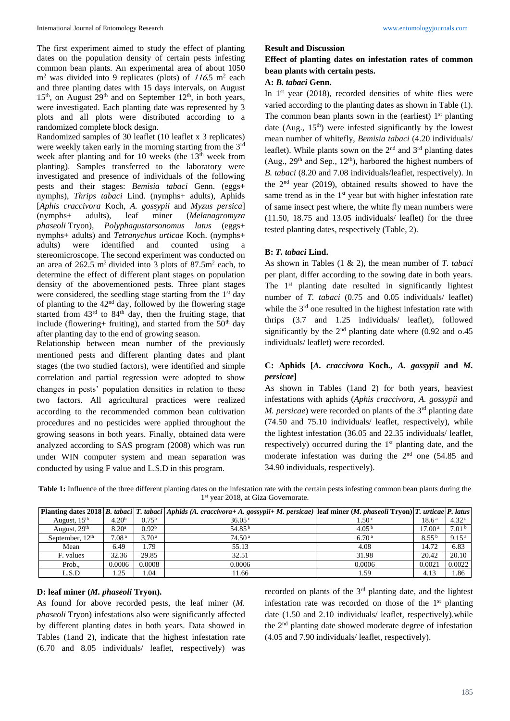The first experiment aimed to study the effect of planting dates on the population density of certain pests infesting common bean plants. An experimental area of about 1050  $m<sup>2</sup>$  was divided into 9 replicates (plots) of  $116.5$  m<sup>2</sup> each and three planting dates with 15 days intervals, on August  $15<sup>th</sup>$ , on August  $29<sup>th</sup>$  and on September  $12<sup>th</sup>$ , in both years, were investigated. Each planting date was represented by 3 plots and all plots were distributed according to a randomized complete block design.

Randomized samples of 30 leaflet (10 leaflet x 3 replicates) were weekly taken early in the morning starting from the 3<sup>rd</sup> week after planting and for 10 weeks (the  $13<sup>th</sup>$  week from planting). Samples transferred to the laboratory were investigated and presence of individuals of the following pests and their stages: *Bemisia tabaci* Genn. (eggs+ nymphs), *Thrips tabaci* Lind. (nymphs+ adults), Aphids [*Aphis craccivora* Koch, *A. gossypii* and *Myzus persica*] (nymphs+ adults), leaf miner (*Melanagromyza phaseoli* Tryon), *Polyphagustarsonomus latus* (eggs+ nymphs+ adults) and *Tetranychus urticae* Koch. (nymphs+ adults) were identified and counted using a stereomicroscope. The second experiment was conducted on an area of  $262.5 \text{ m}^2$  divided into 3 plots of  $87.5 \text{ m}^2$  each, to determine the effect of different plant stages on population density of the abovementioned pests. Three plant stages were considered, the seedling stage starting from the 1<sup>st</sup> day of planting to the  $42<sup>nd</sup>$  day, followed by the flowering stage started from  $43<sup>rd</sup>$  to  $84<sup>th</sup>$  day, then the fruiting stage, that include (flowering+ fruiting), and started from the  $50<sup>th</sup>$  day after planting day to the end of growing season.

Relationship between mean number of the previously mentioned pests and different planting dates and plant stages (the two studied factors), were identified and simple correlation and partial regression were adopted to show changes in pests' population densities in relation to these two factors. All agricultural practices were realized according to the recommended common bean cultivation procedures and no pesticides were applied throughout the growing seasons in both years. Finally, obtained data were analyzed according to SAS program (2008) which was run under WIN computer system and mean separation was conducted by using F value and L.S.D in this program.

### **Result and Discussion**

# **Effect of planting dates on infestation rates of common bean plants with certain pests.**

# **A:** *B. tabaci* **Genn.**

In  $1<sup>st</sup>$  year (2018), recorded densities of white flies were varied according to the planting dates as shown in Table (1). The common bean plants sown in the (earliest)  $1<sup>st</sup>$  planting date (Aug.,  $15<sup>th</sup>$ ) were infested significantly by the lowest mean number of whitefly, *Bemisia tabaci* (4.20 individuals/ leaflet). While plants sown on the  $2<sup>nd</sup>$  and  $3<sup>rd</sup>$  planting dates (Aug.,  $29<sup>th</sup>$  and Sep.,  $12<sup>th</sup>$ ), harbored the highest numbers of *B. tabaci* (8.20 and 7.08 individuals/leaflet, respectively). In the  $2<sup>nd</sup>$  year (2019), obtained results showed to have the same trend as in the  $1<sup>st</sup>$  year but with higher infestation rate of same insect pest where, the white fly mean numbers were (11.50, 18.75 and 13.05 individuals/ leaflet) for the three tested planting dates, respectively (Table, 2).

# **B:** *T. tabaci* **Lind.**

As shown in Tables (1 & 2), the mean number of *T. tabaci*  per plant, differ according to the sowing date in both years. The  $1<sup>st</sup>$  planting date resulted in significantly lightest number of *T. tabaci* (0.75 and 0.05 individuals/ leaflet) while the 3<sup>rd</sup> one resulted in the highest infestation rate with thrips (3.7 and 1.25 individuals/ leaflet), followed significantly by the  $2<sup>nd</sup>$  planting date where (0.92 and 0.45 individuals/ leaflet) were recorded.

# **C: Aphids [***A. craccivora* **Koch.,** *A. gossypii* **and** *M. persicae***]**

As shown in Tables (1and 2) for both years, heaviest infestations with aphids (*Aphis craccivora, A. gossypii* and *M. persicae*) were recorded on plants of the 3<sup>rd</sup> planting date (74.50 and 75.10 individuals/ leaflet, respectively), while the lightest infestation (36.05 and 22.35 individuals/ leaflet, respectively) occurred during the  $1<sup>st</sup>$  planting date, and the moderate infestation was during the  $2<sup>nd</sup>$  one (54.85 and 34.90 individuals, respectively).

**Table 1:** Influence of the three different planting dates on the infestation rate with the certain pests infesting common bean plants during the 1 st year 2018, at Giza Governorate.

|                          |                   |                   | Planting dates 2018   B. tabaci   T. tabaci   Aphids (A. craccivora+ A. gossypii+ M. persicae)   leaf miner (M. phaseoli Tryon)   T. urticae   P. latus |                   |                    |                   |
|--------------------------|-------------------|-------------------|---------------------------------------------------------------------------------------------------------------------------------------------------------|-------------------|--------------------|-------------------|
| August, $15th$           | 4.20 <sup>b</sup> | $0.75^{\rm b}$    | $36.05^{\circ}$                                                                                                                                         | .50 <sup>c</sup>  | $18.6^{\text{ a}}$ | 4.32 <sup>c</sup> |
| August, 29 <sup>th</sup> | 8.20 <sup>a</sup> | 0.92 <sup>b</sup> | 54.85 <sup>b</sup>                                                                                                                                      | 4.05 <sup>b</sup> | 17.00 <sup>a</sup> | 7.01 <sup>b</sup> |
| September, $12th$        | 7.08 <sup>a</sup> | 3.70 <sup>a</sup> | 74.50 <sup>a</sup>                                                                                                                                      | 6.70 <sup>a</sup> | $8.55^{b}$         | 9.15 <sup>a</sup> |
| Mean                     | 6.49              | . . 79            | 55.13                                                                                                                                                   | 4.08              | 14.72              | 6.83              |
| F. values                | 32.36             | 29.85             | 32.51                                                                                                                                                   | 31.98             | 20.42              | 20.10             |
| Prob.,                   | 0.0006            | 0.0008            | 0.0006                                                                                                                                                  | 0.0006            | 0.0021             | 0.0022            |
| L.S.D                    | .25               | .04               | 11.66                                                                                                                                                   | 1.59              | 4.13               | 1.86              |

# **D: leaf miner (***M. phaseoli* **Tryon).**

As found for above recorded pests, the leaf miner (*M. phaseoli* Tryon) infestations also were significantly affected by different planting dates in both years. Data showed in Tables (1and 2), indicate that the highest infestation rate (6.70 and 8.05 individuals/ leaflet, respectively) was

recorded on plants of the 3<sup>rd</sup> planting date, and the lightest infestation rate was recorded on those of the  $1<sup>st</sup>$  planting date (1.50 and 2.10 individuals/ leaflet, respectively).while the 2nd planting date showed moderate degree of infestation (4.05 and 7.90 individuals/ leaflet, respectively).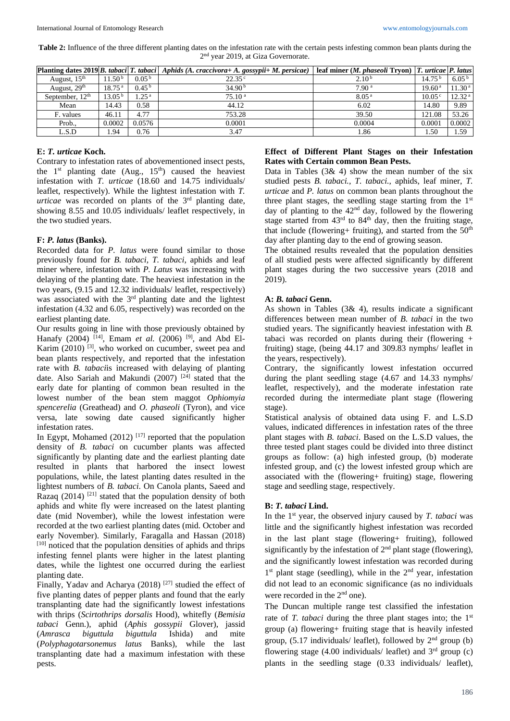**Table 2:** Influence of the three different planting dates on the infestation rate with the certain pests infesting common bean plants during the 2<sup>nd</sup> year 2019, at Giza Governorate.

|                   |                    |                    | Planting dates 2019 B. tabaci T. tabaci   Aphids (A. craccivora + A. gossypii + M. persicae) | leaf miner ( <i>M. phaseoli</i> Tryon) $ T$ . <i>urticae</i> $ P$ . <i>latus</i> |                    |                    |
|-------------------|--------------------|--------------------|----------------------------------------------------------------------------------------------|----------------------------------------------------------------------------------|--------------------|--------------------|
| August, $15th$    | 11.50 <sup>b</sup> | 0.05 <sup>b</sup>  | $22.35^{\circ}$                                                                              | 2.10 <sup>b</sup>                                                                | 14.75 <sup>b</sup> | 6.05 <sup>b</sup>  |
| August, $29th$    | 18.75 <sup>a</sup> | 0.45 <sup>b</sup>  | 34.90 <sup>b</sup>                                                                           | 7.90 <sup>a</sup>                                                                | 19.60 <sup>a</sup> | 11.30 <sup>a</sup> |
| September, $12th$ | $13.05^{b}$        | $1.25^{\text{ a}}$ | 75.10 <sup>a</sup>                                                                           | 8.05 <sup>a</sup>                                                                | $10.05^{\circ}$    | 12.32 <sup>a</sup> |
| Mean              | 14.43              | 0.58               | 44.12                                                                                        | 6.02                                                                             | 14.80              | 9.89               |
| F. values         | 46.11              | 4.77               | 753.28                                                                                       | 39.50                                                                            | 121.08             | 53.26              |
| Prob.,            | 0.0002             | 0.0576             | 0.0001                                                                                       | 0.0004                                                                           | 0.0001             | 0.0002             |
| L.S.D             | . 94               | 0.76               | 3.47                                                                                         | 1.86                                                                             | 1.50               | 1.59               |

### **E:** *T. urticae* **Koch.**

Contrary to infestation rates of abovementioned insect pests, the  $1<sup>st</sup>$  planting date (Aug.,  $15<sup>th</sup>$ ) caused the heaviest infestation with *T. urticae* (18.60 and 14.75 individuals/ leaflet, respectively). While the lightest infestation with *T. urticae* was recorded on plants of the 3<sup>rd</sup> planting date, showing 8.55 and 10.05 individuals/ leaflet respectively, in the two studied years.

### **F:** *P. latus* **(Banks).**

Recorded data for *P. latus* were found similar to those previously found for *B. tabaci, T. tabaci,* aphids and leaf miner where, infestation with *P. Latus* was increasing with delaying of the planting date. The heaviest infestation in the two years, (9.15 and 12.32 individuals/ leaflet, respectively) was associated with the 3<sup>rd</sup> planting date and the lightest infestation (4.32 and 6.05, respectively) was recorded on the earliest planting date.

Our results going in line with those previously obtained by Hanafy (2004) <sup>[14]</sup>, Emam *et al.* (2006) <sup>[9]</sup>, and Abd El-Karim (2010)<sup>[3]</sup>, who worked on cucumber, sweet pea and bean plants respectively, and reported that the infestation rate with *B. tabaci*is increased with delaying of planting date. Also Sariah and Makundi (2007)<sup>[24]</sup> stated that the early date for planting of common bean resulted in the lowest number of the bean stem maggot *Ophiomyia spencerelia* (Greathead) and *O. phaseoli* (Tyron), and vice versa, late sowing date caused significantly higher infestation rates.

In Egypt, Mohamed  $(2012)$ <sup>[17]</sup> reported that the population density of *B. tabaci* on cucumber plants was affected significantly by planting date and the earliest planting date resulted in plants that harbored the insect lowest populations, while, the latest planting dates resulted in the lightest numbers of *B. tabaci*. On Canola plants, Saeed and Razaq  $(2014)$ <sup>[21]</sup> stated that the population density of both aphids and white fly were increased on the latest planting date (mid November), while the lowest infestation were recorded at the two earliest planting dates (mid. October and early November). Similarly, Faragalla and Hassan (2018) [10] noticed that the population densities of aphids and thrips infesting fennel plants were higher in the latest planting dates, while the lightest one occurred during the earliest planting date.

Finally, Yadav and Acharya (2018)<sup>[27]</sup> studied the effect of five planting dates of pepper plants and found that the early transplanting date had the significantly lowest infestations with thrips (*Scirtothrips dorsalis* Hood), whitefly (*Bemisia tabaci* Genn.), aphid (*Aphis gossypii* Glover), jassid (*Amrasca biguttula biguttula* Ishida) and mite (*Polyphagotarsonemus latus* Banks), while the last transplanting date had a maximum infestation with these pests.

### **Effect of Different Plant Stages on their Infestation Rates with Certain common Bean Pests.**

Data in Tables  $(3\& 4)$  show the mean number of the six studied pests *B. tabaci., T. tabaci.,* aphids, leaf miner, *T. urticae* and *P. latus* on common bean plants throughout the three plant stages, the seedling stage starting from the  $1<sup>st</sup>$ day of planting to the 42nd day, followed by the flowering stage started from  $43<sup>rd</sup>$  to  $84<sup>th</sup>$  day, then the fruiting stage, that include (flowering+ fruiting), and started from the  $50<sup>th</sup>$ day after planting day to the end of growing season.

The obtained results revealed that the population densities of all studied pests were affected significantly by different plant stages during the two successive years (2018 and 2019).

### **A:** *B. tabaci* **Genn.**

As shown in Tables  $(3& 4)$ , results indicate a significant differences between mean number of *B. tabaci* in the two studied years. The significantly heaviest infestation with *B.*  tabaci was recorded on plants during their (flowering  $+$ fruiting) stage, (being 44.17 and 309.83 nymphs/ leaflet in the years, respectively).

Contrary, the significantly lowest infestation occurred during the plant seedling stage (4.67 and 14.33 nymphs/ leaflet, respectively), and the moderate infestation rate recorded during the intermediate plant stage (flowering stage).

Statistical analysis of obtained data using F. and L.S.D values, indicated differences in infestation rates of the three plant stages with *B. tabaci*. Based on the L.S.D values, the three tested plant stages could be divided into three distinct groups as follow: (a) high infested group, (b) moderate infested group, and (c) the lowest infested group which are associated with the (flowering+ fruiting) stage, flowering stage and seedling stage, respectively.

# **B:** *T. tabaci* **Lind.**

In the 1st year, the observed injury caused by *T. tabaci* was little and the significantly highest infestation was recorded in the last plant stage (flowering+ fruiting), followed significantly by the infestation of  $2<sup>nd</sup>$  plant stage (flowering), and the significantly lowest infestation was recorded during 1<sup>st</sup> plant stage (seedling), while in the 2<sup>nd</sup> year, infestation did not lead to an economic significance (as no individuals were recorded in the 2<sup>nd</sup> one).

The Duncan multiple range test classified the infestation rate of *T. tabaci* during the three plant stages into; the 1<sup>st</sup> group (a) flowering+ fruiting stage that is heavily infested group,  $(5.17 \text{ individuals/ leaflet})$ , followed by  $2<sup>nd</sup>$  group (b) flowering stage  $(4.00 \text{ individuals/ leaflet})$  and  $3^{\text{rd}}$  group  $(c)$ plants in the seedling stage (0.33 individuals/ leaflet),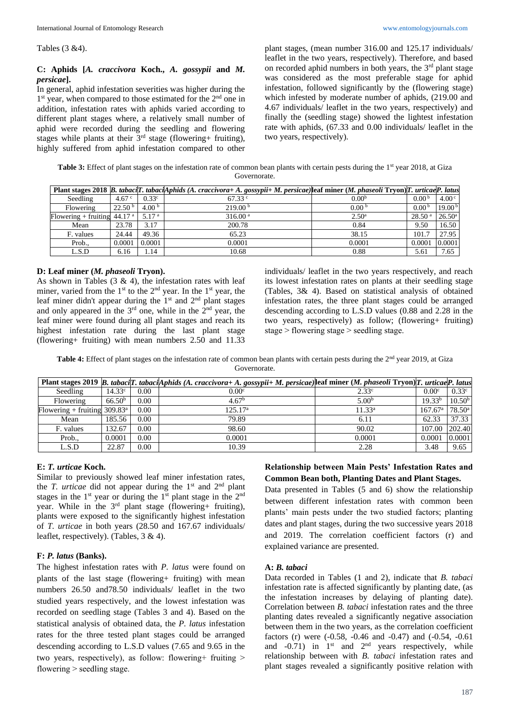Tables (3 &4).

### **C: Aphids [***A. craccivora* **Koch.,** *A. gossypii* **and** *M. persicae***].**

In general, aphid infestation severities was higher during the 1<sup>st</sup> year, when compared to those estimated for the 2<sup>nd</sup> one in addition, infestation rates with aphids varied according to different plant stages where, a relatively small number of aphid were recorded during the seedling and flowering stages while plants at their  $3<sup>rd</sup>$  stage (flowering+ fruiting), highly suffered from aphid infestation compared to other

plant stages, (mean number 316.00 and 125.17 individuals/ leaflet in the two years, respectively). Therefore, and based on recorded aphid numbers in both years, the 3<sup>rd</sup> plant stage was considered as the most preferable stage for aphid infestation, followed significantly by the (flowering stage) which infested by moderate number of aphids, (219.00 and 4.67 individuals/ leaflet in the two years, respectively) and finally the (seedling stage) showed the lightest infestation rate with aphids, (67.33 and 0.00 individuals/ leaflet in the two years, respectively).

Table 3: Effect of plant stages on the infestation rate of common bean plants with certain pests during the 1<sup>st</sup> year 2018, at Giza Governorate.

|                               |                    |                   | Plant stages 2018 B. tabacilT. tabaciAphids (A. craccivora+ A. gossypii+ M. persicae) leaf miner (M. phaseoli Tryon) [T. urticae P. latus |                   |                    |                    |
|-------------------------------|--------------------|-------------------|-------------------------------------------------------------------------------------------------------------------------------------------|-------------------|--------------------|--------------------|
| Seedling                      | 4.67 $\degree$     | 0.33 <sup>c</sup> | $67.33$ °                                                                                                                                 | 0.00 <sup>b</sup> | 0.00 <sup>b</sup>  | 4.00 <sup>c</sup>  |
| Flowering                     | 22.50 <sup>b</sup> | 4.00 $^{\rm b}$   | 219.00 <sup>b</sup>                                                                                                                       | 0.00 <sup>b</sup> | 0.00 <sup>b</sup>  | 19.00 <sup>b</sup> |
| Flowering + fruiting $44.17a$ |                    | 5.17 <sup>a</sup> | 316.00 <sup>a</sup>                                                                                                                       | $2.50^{\rm a}$    | 28.50 <sup>a</sup> | $26.50^{\circ}$    |
| Mean                          | 23.78              | 3.17              | 200.78                                                                                                                                    | 0.84              | 9.50               | 16.50              |
| F. values                     | 24.44              | 49.36             | 65.23                                                                                                                                     | 38.15             | 101.7              | 27.95              |
| Prob.,                        | 0.0001             | 0.0001            | 0.0001                                                                                                                                    | 0.0001            | 0.0001             | 0.0001             |
| L.S.D                         | 6.16               | 1.14              | 10.68                                                                                                                                     | 0.88              | 5.61               | 7.65               |

#### **D: Leaf miner (***M. phaseoli* **Tryon).**

As shown in Tables  $(3 \& 4)$ , the infestation rates with leaf miner, varied from the  $1<sup>st</sup>$  to the  $2<sup>nd</sup>$  year. In the  $1<sup>st</sup>$  year, the leaf miner didn't appear during the  $1<sup>st</sup>$  and  $2<sup>nd</sup>$  plant stages and only appeared in the  $3<sup>rd</sup>$  one, while in the  $2<sup>nd</sup>$  year, the leaf miner were found during all plant stages and reach its highest infestation rate during the last plant stage (flowering+ fruiting) with mean numbers 2.50 and 11.33

individuals/ leaflet in the two years respectively, and reach its lowest infestation rates on plants at their seedling stage (Tables, 3& 4). Based on statistical analysis of obtained infestation rates, the three plant stages could be arranged descending according to L.S.D values (0.88 and 2.28 in the two years, respectively) as follow; (flowering+ fruiting) stage  $>$  flowering stage  $>$  seedling stage.

Table 4: Effect of plant stages on the infestation rate of common bean plants with certain pests during the 2<sup>nd</sup> year 2019, at Giza Governorate.

|                                       |                    |      | Plant stages 2019 B. tabaci[T. tabaci[Aphids (A. craccivora+ A. gossypii+ M. persicae) leaf miner (M. phaseoli Tryon) T. urticae P. latus |                   |                    |                    |
|---------------------------------------|--------------------|------|-------------------------------------------------------------------------------------------------------------------------------------------|-------------------|--------------------|--------------------|
| Seedling                              | 14.33c             | 0.00 | 0.00 <sup>c</sup>                                                                                                                         | 2.33 <sup>c</sup> | 0.00 <sup>c</sup>  | 0.33 <sup>c</sup>  |
| Flowering                             | 66.50 <sup>b</sup> | 0.00 | 4.67 <sup>b</sup>                                                                                                                         | 5.00 <sup>b</sup> | 19.33 <sup>b</sup> | 10.50 <sup>b</sup> |
| Flowering + fruiting $309.83^{\circ}$ |                    | 0.00 | $125.17^{\rm a}$                                                                                                                          | $11.33^a$         | $167.67^{\rm a}$   | $78.50^{\circ}$    |
| Mean                                  | 185.56             | 0.00 | 79.89                                                                                                                                     | 6.11              | 62.33              | 37.33              |
| F. values                             | 132.67             | 0.00 | 98.60                                                                                                                                     | 90.02             | 107.00             | 202.40             |
| Prob.,                                | 0.0001             | 0.00 | 0.0001                                                                                                                                    | 0.0001            | 0.0001             | 0.0001             |
| L.S.D                                 | 22.87              | 0.00 | 10.39                                                                                                                                     | 2.28              | 3.48               | 9.65               |

### **E:** *T. urticae* **Koch.**

Similar to previously showed leaf miner infestation rates, the *T. urticae* did not appear during the 1<sup>st</sup> and 2<sup>nd</sup> plant stages in the  $1<sup>st</sup>$  year or during the  $1<sup>st</sup>$  plant stage in the  $2<sup>nd</sup>$ year. While in the 3rd plant stage (flowering+ fruiting), plants were exposed to the significantly highest infestation of *T. urticae* in both years (28.50 and 167.67 individuals/ leaflet, respectively). (Tables, 3 & 4).

#### **F:** *P. latus* **(Banks).**

The highest infestation rates with *P. latus* were found on plants of the last stage (flowering+ fruiting) with mean numbers 26.50 and78.50 individuals/ leaflet in the two studied years respectively, and the lowest infestation was recorded on seedling stage (Tables 3 and 4). Based on the statistical analysis of obtained data, the *P. latus* infestation rates for the three tested plant stages could be arranged descending according to L.S.D values (7.65 and 9.65 in the two years, respectively), as follow: flowering+ fruiting > flowering  $>$  seedling stage.

# **Relationship between Main Pests' Infestation Rates and Common Bean both, Planting Dates and Plant Stages.**

Data presented in Tables (5 and 6) show the relationship between different infestation rates with common been plants' main pests under the two studied factors; planting dates and plant stages, during the two successive years 2018 and 2019. The correlation coefficient factors (r) and explained variance are presented.

#### **A:** *B. tabaci*

Data recorded in Tables (1 and 2), indicate that *B. tabaci* infestation rate is affected significantly by planting date, (as the infestation increases by delaying of planting date). Correlation between *B. tabaci* infestation rates and the three planting dates revealed a significantly negative association between them in the two years, as the correlation coefficient factors (r) were (-0.58, -0.46 and -0.47) and (-0.54, -0.61 and  $-0.71$ ) in  $1<sup>st</sup>$  and  $2<sup>nd</sup>$  years respectively, while relationship between with *B. tabaci* infestation rates and plant stages revealed a significantly positive relation with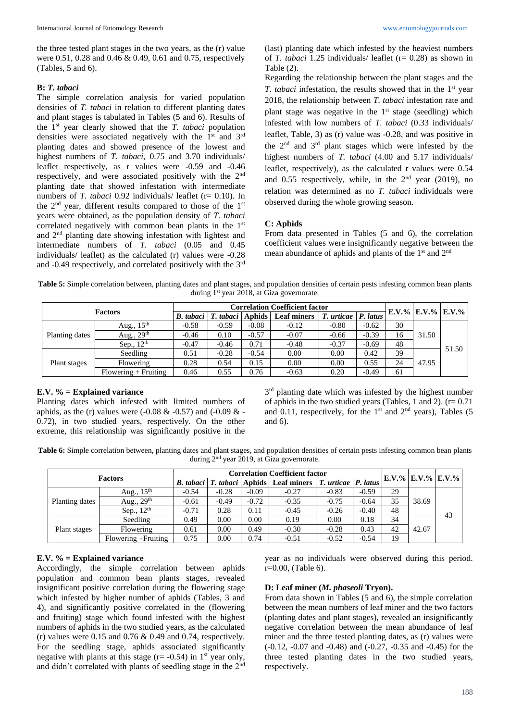the three tested plant stages in the two years, as the (r) value were 0.51, 0.28 and 0.46 & 0.49, 0.61 and 0.75, respectively (Tables, 5 and 6).

#### **B:** *T. tabaci*

The simple correlation analysis for varied population densities of *T. tabaci* in relation to different planting dates and plant stages is tabulated in Tables (5 and 6). Results of the 1st year clearly showed that the *T. tabaci* population densities were associated negatively with the 1<sup>st</sup> and 3<sup>rd</sup> planting dates and showed presence of the lowest and highest numbers of *T. tabaci*, 0.75 and 3.70 individuals/ leaflet respectively, as r values were -0.59 and -0.46 respectively, and were associated positively with the 2nd planting date that showed infestation with intermediate numbers of *T. tabaci* 0.92 individuals/ leaflet (r= 0.10). In the  $2<sup>nd</sup>$  year, different results compared to those of the  $1<sup>st</sup>$ years were obtained, as the population density of *T. tabaci*  correlated negatively with common bean plants in the 1<sup>st</sup> and 2nd planting date showing infestation with lightest and intermediate numbers of *T. tabaci* (0.05 and 0.45 individuals/ leaflet) as the calculated (r) values were -0.28 and -0.49 respectively, and correlated positively with the 3rd

(last) planting date which infested by the heaviest numbers of *T. tabaci* 1.25 individuals/ leaflet (r= 0.28) as shown in Table (2).

Regarding the relationship between the plant stages and the *T. tabaci* infestation, the results showed that in the 1<sup>st</sup> year 2018, the relationship between *T. tabaci* infestation rate and plant stage was negative in the  $1<sup>st</sup>$  stage (seedling) which infested with low numbers of *T. tabaci* (0.33 individuals/ leaflet, Table, 3) as (r) value was -0.28, and was positive in the  $2<sup>nd</sup>$  and  $3<sup>rd</sup>$  plant stages which were infested by the highest numbers of *T. tabaci* (4.00 and 5.17 individuals/ leaflet, respectively), as the calculated r values were 0.54 and 0.55 respectively, while, in the  $2<sup>nd</sup>$  year (2019), no relation was determined as no *T. tabaci* individuals were observed during the whole growing season.

#### **C: Aphids**

From data presented in Tables (5 and 6), the correlation coefficient values were insignificantly negative between the mean abundance of aphids and plants of the 1<sup>st</sup> and 2<sup>nd</sup>

**Table 5:** Simple correlation between, planting dates and plant stages, and population densities of certain pests infesting common bean plants during 1<sup>st</sup> year 2018, at Giza governorate.

| <b>Factors</b> |                        | <b>Correlation Coefficient factor</b> |                                              |         |                    |         |                  | $E.V.$ % $E.V.$ % $E.V.$ % |       |       |
|----------------|------------------------|---------------------------------------|----------------------------------------------|---------|--------------------|---------|------------------|----------------------------|-------|-------|
|                |                        |                                       | <i>B. tabaci</i>   <i>T. tabaci</i>   Aphids |         | <b>Leaf miners</b> | T.      | urticae P. latus |                            |       |       |
| Planting dates | Aug., $15th$           | $-0.58$                               | $-0.59$                                      | $-0.08$ | $-0.12$            | $-0.80$ | $-0.62$          | 30                         |       |       |
|                | Aug., $29th$           | $-0.46$                               | 0.10                                         | $-0.57$ | $-0.07$            | $-0.66$ | $-0.39$          | 16                         | 31.50 |       |
|                | Sep., $12th$           | $-0.47$                               | $-0.46$                                      | 0.71    | $-0.48$            | $-0.37$ | $-0.69$          | 48                         |       |       |
| Plant stages   | Seedling               | 0.51                                  | $-0.28$                                      | $-0.54$ | 0.00               | 0.00    | 0.42             | 39                         |       | 51.50 |
|                | Flowering              | 0.28                                  | 0.54                                         | 0.15    | 0.00               | 0.00    | 0.55             | 24                         | 47.95 |       |
|                | $Flowering + Fruiting$ | 0.46                                  | 0.55                                         | 0.76    | $-0.63$            | 0.20    | $-0.49$          | 61                         |       |       |

#### **E.V. % = Explained variance**

Planting dates which infested with limited numbers of aphids, as the (r) values were  $(-0.08 \& -0.57)$  and  $(-0.09 \& -1)$ 0.72), in two studied years, respectively. On the other extreme, this relationship was significantly positive in the

 $3<sup>rd</sup>$  planting date which was infested by the highest number of aphids in the two studied years (Tables, 1 and 2).  $(r= 0.71)$ and 0.11, respectively, for the  $1<sup>st</sup>$  and  $2<sup>nd</sup>$  years), Tables (5 and 6).

**Table 6:** Simple correlation between, planting dates and plant stages, and population densities of certain pests infesting common bean plants during  $2<sup>nd</sup>$  year 2019, at Giza governorate.

| <b>Factors</b> |                      | <b>Correlation Coefficient factor</b> |         |         |                                                            |                         |         |    |       |                               |
|----------------|----------------------|---------------------------------------|---------|---------|------------------------------------------------------------|-------------------------|---------|----|-------|-------------------------------|
|                |                      |                                       |         |         | <i>B. tabaci</i>   <i>T. tabaci</i>   Aphids   Leaf miners | $T.$ urticae $P.$ latus |         |    |       | $E.V. \%$ $E.V. \%$ $E.V. \%$ |
| Planting dates | Aug., $15th$         | $-0.54$                               | $-0.28$ | $-0.09$ | $-0.27$                                                    | $-0.83$                 | $-0.59$ | 29 |       |                               |
|                | Aug., $29th$         | $-0.61$                               | $-0.49$ | $-0.72$ | $-0.35$                                                    | $-0.75$                 | $-0.64$ | 35 | 38.69 |                               |
|                | Sep., $12th$         | $-0.71$                               | 0.28    | 0.11    | $-0.45$                                                    | $-0.26$                 | $-0.40$ | 48 |       | 43                            |
| Plant stages   | Seedling             | 0.49                                  | 0.00    | 0.00    | 0.19                                                       | 0.00                    | 0.18    | 34 |       |                               |
|                | Flowering            | 0.61                                  | 0.00    | 0.49    | $-0.30$                                                    | $-0.28$                 | 0.43    | 42 | 42.67 |                               |
|                | Flowering + Fruiting | 0.75                                  | 0.00    | 0.74    | $-0.51$                                                    | $-0.52$                 | $-0.54$ | 19 |       |                               |

#### **E.V. % = Explained variance**

Accordingly, the simple correlation between aphids population and common bean plants stages, revealed insignificant positive correlation during the flowering stage which infested by higher number of aphids (Tables, 3 and 4), and significantly positive correlated in the (flowering and fruiting) stage which found infested with the highest numbers of aphids in the two studied years, as the calculated (r) values were  $0.15$  and  $0.76 \& 0.49$  and  $0.74$ , respectively. For the seedling stage, aphids associated significantly negative with plants at this stage  $(r = -0.54)$  in 1<sup>st</sup> year only, and didn't correlated with plants of seedling stage in the 2nd

year as no individuals were observed during this period.  $r=0.00$ , (Table 6).

#### **D: Leaf miner (***M. phaseoli* **Tryon).**

From data shown in Tables (5 and 6), the simple correlation between the mean numbers of leaf miner and the two factors (planting dates and plant stages), revealed an insignificantly negative correlation between the mean abundance of leaf miner and the three tested planting dates, as (r) values were (-0.12, -0.07 and -0.48) and (-0.27, -0.35 and -0.45) for the three tested planting dates in the two studied years, respectively.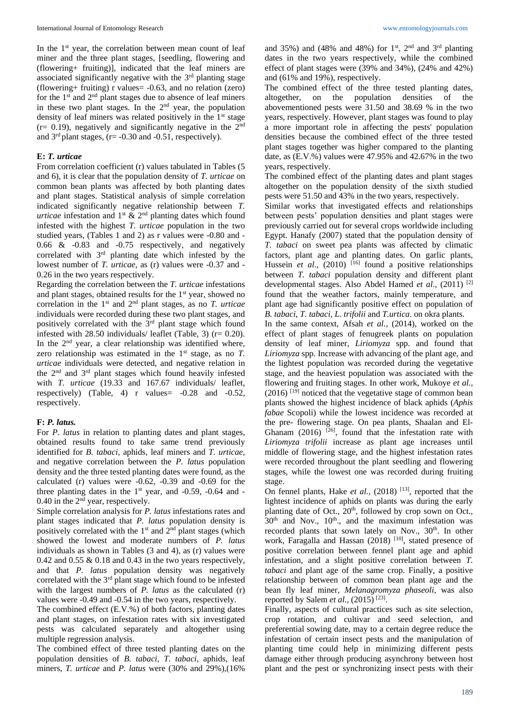In the 1<sup>st</sup> year, the correlation between mean count of leaf miner and the three plant stages, [seedling, flowering and (flowering+ fruiting)], indicated that the leaf miners are associated significantly negative with the  $3<sup>rd</sup>$  planting stage (flowering+ fruiting) r values= -0.63, and no relation (zero) for the  $1<sup>st</sup>$  and  $2<sup>nd</sup>$  plant stages due to absence of leaf miners in these two plant stages. In the 2<sup>nd</sup> year, the population density of leaf miners was related positively in the  $1<sup>st</sup>$  stage  $(r= 0.19)$ , negatively and significantly negative in the  $2<sup>nd</sup>$ and  $3<sup>rd</sup>$  plant stages, (r= -0.30 and -0.51, respectively).

#### **E:** *T. urticae*

From correlation coefficient (r) values tabulated in Tables (5 and 6), it is clear that the population density of *T. urticae* on common bean plants was affected by both planting dates and plant stages. Statistical analysis of simple correlation indicated significantly negative relationship between *T. urticae* infestation and  $1<sup>st</sup>$  &  $2<sup>nd</sup>$  planting dates which found infested with the highest *T. urticae* population in the two studied years, (Tables 1 and 2) as r values were -0.80 and - 0.66 & -0.83 and -0.75 respectively, and negatively correlated with 3rd planting date which infested by the lowest number of *T. urticae*, as (r) values were -0.37 and - 0.26 in the two years respectively.

Regarding the correlation between the *T. urticae* infestations and plant stages, obtained results for the 1<sup>st</sup> year, showed no correlation in the 1st and 2nd plant stages, as no *T. urticae* individuals were recorded during these two plant stages, and positively correlated with the 3rd plant stage which found infested with 28.50 individuals/ leaflet (Table, 3) ( $r = 0.20$ ). In the  $2<sup>nd</sup>$  year, a clear relationship was identified where, zero relationship was estimated in the  $1<sup>st</sup>$  stage, as no  $T$ . *urticae* individuals were detected, and negative relation in the 2<sup>nd</sup> and 3<sup>rd</sup> plant stages which found heavily infested with *T. urticae* (19.33 and 167.67 individuals/ leaflet, respectively) (Table, 4) r values= -0.28 and -0.52, respectively.

#### **F:** *P. latus.*

For *P. latus* in relation to planting dates and plant stages, obtained results found to take same trend previously identified for *B. tabaci,* aphids*,* leaf miners and *T. urticae*, and negative correlation between the *P. latus* population density and the three tested planting dates were found, as the calculated (r) values were -0.62, -0.39 and -0.69 for the three planting dates in the  $1<sup>st</sup>$  year, and -0.59, -0.64 and -0.40 in the 2nd year, respectively.

Simple correlation analysis for *P. latus* infestations rates and plant stages indicated that *P. latus* population density is positively correlated with the  $1<sup>st</sup>$  and  $2<sup>nd</sup>$  plant stages (which showed the lowest and moderate numbers of *P. latus*  individuals as shown in Tables (3 and 4), as (r) values were 0.42 and 0.55  $\&$  0.18 and 0.43 in the two years respectively, and that *P. latus* population density was negatively correlated with the  $3<sup>rd</sup>$  plant stage which found to be infested with the largest numbers of *P. latus* as the calculated (r) values were -0.49 and -0.54 in the two years, respectively.

The combined effect (E.V.%) of both factors, planting dates and plant stages, on infestation rates with six investigated pests was calculated separately and altogether using multiple regression analysis.

The combined effect of three tested planting dates on the population densities of *B. tabaci*, *T. tabaci,* aphids, leaf miners, *T. urticae* and *P. latus* were (30% and 29%),(16%

and 35%) and (48% and 48%) for  $1<sup>st</sup>$ ,  $2<sup>nd</sup>$  and  $3<sup>rd</sup>$  planting dates in the two years respectively, while the combined effect of plant stages were (39% and 34%), (24% and 42%) and (61% and 19%), respectively.

The combined effect of the three tested planting dates, altogether, on the population densities of the abovementioned pests were 31.50 and 38.69 % in the two years, respectively. However, plant stages was found to play a more important role in affecting the pests' population densities because the combined effect of the three tested plant stages together was higher compared to the planting date, as (E.V.%) values were 47.95% and 42.67% in the two years, respectively.

The combined effect of the planting dates and plant stages altogether on the population density of the sixth studied pests were 51.50 and 43% in the two years, respectively.

Similar works that investigated effects and relationships between pests' population densities and plant stages were previously carried out for several crops worldwide including Egypt. Hanafy (2007) stated that the population density of *T. tabaci* on sweet pea plants was affected by climatic factors, plant age and planting dates. On garlic plants, Hussein *et al.*, (2010)<sup>[16]</sup> found a positive relationships between *T. tabaci* population density and different plant developmental stages. Also Abdel Hamed *et al*., (2011) [2] found that the weather factors, mainly temperature, and plant age had significantly positive effect on population of *B. tabaci*, *T. tabaci*, *L. trifolii* and *T.urtica*. on okra plants.

In the same context, Afsah *et al.,* (2014), worked on the effect of plant stages of fenugreek plants on population density of leaf miner, *Liriomyza* spp. and found that *Liriomyza* spp. Increase with advancing of the plant age, and the lightest population was recorded during the vegetative stage, and the heaviest population was associated with the flowering and fruiting stages. In other work, Mukoye *et al.,*  $(2016)$ <sup>[19]</sup> noticed that the vegetative stage of common bean plants showed the highest incidence of black aphids (*Aphis fabae* Scopoli) while the lowest incidence was recorded at the pre- flowering stage. On pea plants, Shaalan and El-Ghanam  $(2016)$  <sup>[26]</sup>, found that the infestation rate with *Liriomyza trifolii* increase as plant age increases until middle of flowering stage, and the highest infestation rates were recorded throughout the plant seedling and flowering stages, while the lowest one was recorded during fruiting stage.

On fennel plants, Hake *et al.*, (2018) <sup>[13]</sup>, reported that the lightest incidence of aphids on plants was during the early planting date of Oct.,  $20<sup>th</sup>$ , followed by crop sown on Oct.,  $30<sup>th</sup>$  and Nov.,  $10<sup>th</sup>$ , and the maximum infestation was recorded plants that sown lately on Nov., 30<sup>th</sup>. In other work, Faragalla and Hassan (2018)<sup>[10]</sup>, stated presence of positive correlation between fennel plant age and aphid infestation, and a slight positive correlation between *T. tabaci* and plant age of the same crop. Finally, a positive relationship between of common bean plant age and the bean fly leaf miner, *Melanagromyza phaseoli*, was also reported by Salem et al., (2015)<sup>[23]</sup>.

Finally, aspects of cultural practices such as site selection, crop rotation, and cultivar and seed selection, and preferential sowing date, may to a certain degree reduce the infestation of certain insect pests and the manipulation of planting time could help in minimizing different pests damage either through producing asynchrony between host plant and the pest or synchronizing insect pests with their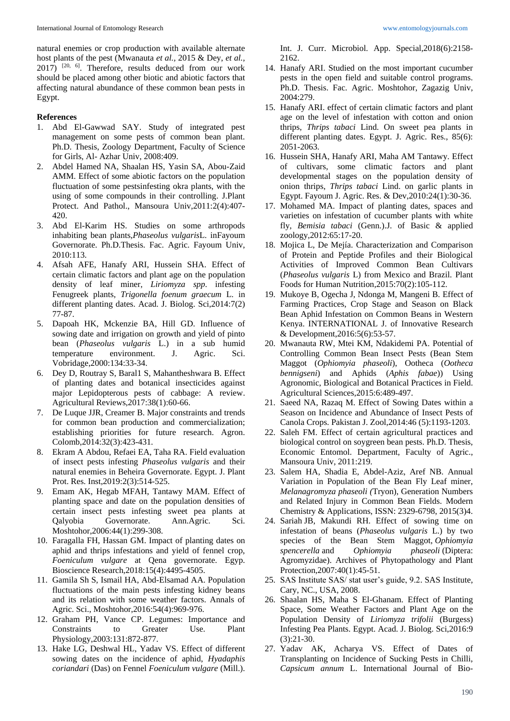natural enemies or crop production with available alternate host plants of the pest (Mwanauta *et al.,* 2015 & Dey, *et al.,*  $2017$ ) <sup>[20, 6]</sup>. Therefore, results deduced from our work should be placed among other biotic and abiotic factors that affecting natural abundance of these common bean pests in Egypt.

#### **References**

- 1. Abd El-Gawwad SAY. Study of integrated pest management on some pests of common bean plant. Ph.D. Thesis, Zoology Department, Faculty of Science for Girls, Al- Azhar Univ, 2008:409.
- 2. Abdel Hamed NA, Shaalan HS, Yasin SA, Abou-Zaid AMM. Effect of some abiotic factors on the population fluctuation of some pestsinfesting okra plants, with the using of some compounds in their controlling. J.Plant Protect. And Pathol., Mansoura Univ,2011:2(4):407- 420.
- 3. Abd El-Karim HS. Studies on some arthropods inhabiting bean plants,*Phaseolus vulgaris*L. inFayoum Governorate. Ph.D.Thesis. Fac. Agric. Fayoum Univ, 2010:113.
- 4. Afsah AFE, Hanafy ARI, Hussein SHA. Effect of certain climatic factors and plant age on the population density of leaf miner, *Liriomyza spp*. infesting Fenugreek plants, *Trigonella foenum graecum* L. in different planting dates. Acad. J. Biolog. Sci,2014:7(2) 77-87.
- 5. Dapoah HK, Mckenzie BA, Hill GD. Influence of sowing date and irrigation on growth and yield of pinto bean (*Phaseolus vulgaris* L.) in a sub humid temperature environment. J. Agric. Sci. Vobridage,2000:134:33-34.
- 6. Dey D, Routray S, Baral1 S, Mahantheshwara B. Effect of planting dates and botanical insecticides against major Lepidopterous pests of cabbage: A review. Agricultural Reviews,2017:38(1):60-66.
- 7. De Luque JJR, Creamer B. Major constraints and trends for common bean production and commercialization; establishing priorities for future research. Agron. Colomb,2014:32(3):423-431.
- 8. Ekram A Abdou, Refaei EA, Taha RA. Field evaluation of insect pests infesting *Phaseolus vulgaris* and their natural enemies in Beheira Governorate. Egypt. J. Plant Prot. Res. Inst,2019:2(3):514-525.
- 9. Emam AK, Hegab MFAH, Tantawy MAM. Effect of planting space and date on the population densities of certain insect pests infesting sweet pea plants at Qalyobia Governorate. Ann.Agric. Sci. Moshtohor,2006:44(1):299-308.
- 10. Faragalla FH, Hassan GM. Impact of planting dates on aphid and thrips infestations and yield of fennel crop, *Foeniculum vulgare* at Qena governorate. Egyp. Bioscience Research,2018:15(4):4495-4505.
- 11. Gamila Sh S, Ismail HA, Abd-Elsamad AA. Population fluctuations of the main pests infesting kidney beans and its relation with some weather factors. Annals of Agric. Sci., Moshtohor,2016:54(4):969-976.
- 12. Graham PH, Vance CP. Legumes: Importance and Constraints to Greater Use. Plant Physiology,2003:131:872-877.
- 13. Hake LG, Deshwal HL, Yadav VS. Effect of different sowing dates on the incidence of aphid, *Hyadaphis coriandari* (Das) on Fennel *Foeniculum vulgare* (Mill.).

Int. J. Curr. Microbiol. App. Special,2018(6):2158- 2162.

- 14. Hanafy ARI. Studied on the most important cucumber pests in the open field and suitable control programs. Ph.D. Thesis. Fac. Agric. Moshtohor, Zagazig Univ, 2004:279.
- 15. Hanafy ARI. effect of certain climatic factors and plant age on the level of infestation with cotton and onion thrips, *Thrips tabaci* Lind. On sweet pea plants in different planting dates. Egypt. J. Agric. Res., 85(6): 2051-2063.
- 16. Hussein SHA, Hanafy ARI, Maha AM Tantawy. Effect of cultivars, some climatic factors and plant developmental stages on the population density of onion thrips, *Thrips tabaci* Lind. on garlic plants in Egypt. Fayoum J. Agric. Res. & Dev,2010:24(1):30-36.
- 17. Mohamed MA. Impact of planting dates, spaces and varieties on infestation of cucumber plants with white fly, *Bemisia tabaci* (Genn.).J. of Basic & applied zoology,2012:65:17-20.
- 18. Mojica L, De Mejía. Characterization and Comparison of Protein and Peptide Profiles and their Biological Activities of Improved Common Bean Cultivars (*Phaseolus vulgaris* L) from Mexico and Brazil. Plant Foods for Human Nutrition,2015:70(2):105-112.
- 19. Mukoye B, Ogecha J, Ndonga M, Mangeni B. Effect of Farming Practices, Crop Stage and Season on Black Bean Aphid Infestation on Common Beans in Western Kenya. INTERNATIONAL J. of Innovative Research & Development,2016:5(6):53-57.
- 20. Mwanauta RW, Mtei KM, Ndakidemi PA. Potential of Controlling Common Bean Insect Pests (Bean Stem Maggot (*Ophiomyia phaseoli*), Ootheca (*Ootheca bennigseni*) and Aphids (*Aphis fabae*)) Using Agronomic, Biological and Botanical Practices in Field. Agricultural Sciences,2015:6:489-497.
- 21. Saeed NA, Razaq M. Effect of Sowing Dates within a Season on Incidence and Abundance of Insect Pests of Canola Crops. Pakistan J. Zool,2014:46 (5):1193-1203.
- 22. Saleh FM. Effect of certain agricultural practices and biological control on soygreen bean pests. Ph.D. Thesis, Economic Entomol. Department, Faculty of Agric., Mansoura Univ, 2011:219.
- 23. Salem HA, Shadia E, Abdel-Aziz, Aref NB. Annual Variation in Population of the Bean Fly Leaf miner, *Melanagromyza phaseoli (*Tryon), Generation Numbers and Related Injury in Common Bean Fields. Modern Chemistry & Applications, ISSN: 2329-6798, 2015(3)4.
- 24. Sariah JB, Makundi RH. Effect of sowing time on infestation of beans (*Phaseolus vulgaris* L.) by two species of the Bean Stem Maggot, *Ophiomyia spencerella* and *Ophiomyia phaseoli* (Diptera: Agromyzidae). Archives of Phytopathology and Plant Protection,2007:40(1):45-51.
- 25. SAS Institute SAS/ stat user's guide, 9.2. SAS Institute, Cary, NC., USA, 2008.
- 26. Shaalan HS, Maha S El-Ghanam. Effect of Planting Space, Some Weather Factors and Plant Age on the Population Density of *Liriomyza trifolii* (Burgess) Infesting Pea Plants. Egypt. Acad. J. Biolog. Sci,2016:9 (3):21-30.
- 27. Yadav AK, Acharya VS. Effect of Dates of Transplanting on Incidence of Sucking Pests in Chilli, *Capsicum annum* L. International Journal of Bio-